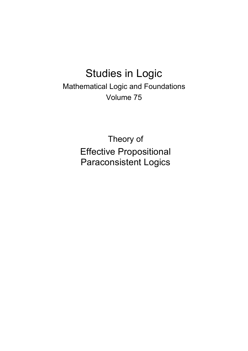## Studies in Logic

Mathematical Logic and Foundations Volume 75

> Theory of Effective Propositional Paraconsistent Logics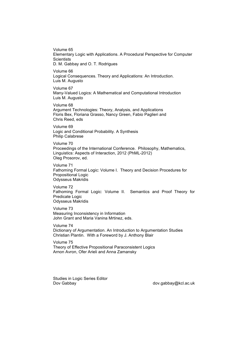Volume 65 Elementary Logic with Applications. A Procedural Perspective for Computer **Scientists** D. M. Gabbay and O. T. Rodrigues

Volume 66 Logical Consequences. Theory and Applications: An Introduction. Luis M. Augusto

Volume 67 Many-Valued Logics: A Mathematical and Computational Introduction Luis M. Augusto

Volume 68 Argument Technologies: Theory, Analysis, and Applications Floris Bex, Floriana Grasso, Nancy Green, Fabio Paglieri and Chris Reed, eds

Volume 69 Logic and Conditional Probability. A Synthesis Philip Calabrese

Volume 70 Proceedings of the International Conference. Philosophy, Mathematics, Linguistics: Aspects of Interaction, 2012 (PhML-2012) Oleg Prosorov, ed.

Volume 71 Fathoming Formal Logic: Volume I. Theory and Decision Procedures for Propositional Logic Odysseus Makridis

Volume 72 Fathoming Formal Logic: Volume II. Semantics and Proof Theory for Predicate Logic Odysseus Makridis

Volume 73 Measuring Inconsistency in Information John Grant and Maria Vanina Mrtinez, eds.

Volume 74 Dictionary of Argumentation. An Introduction to Argumentation Studies Christian Plantin. With a Foreword by J. Anthony Blair

Volume 75 Theory of Effective Propositional Paraconsistent Logics Arnon Avron, Ofer Arieli and Anna Zamansky

Studies in Logic Series Editor Dov Gabbay dov.gabbay@kcl.ac.uk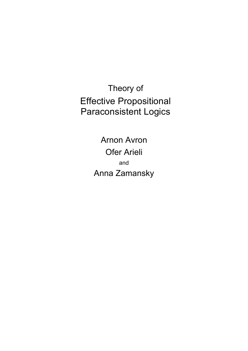Theory of Effective Propositional Paraconsistent Logics

> Arnon Avron Ofer Arieli and Anna Zamansky